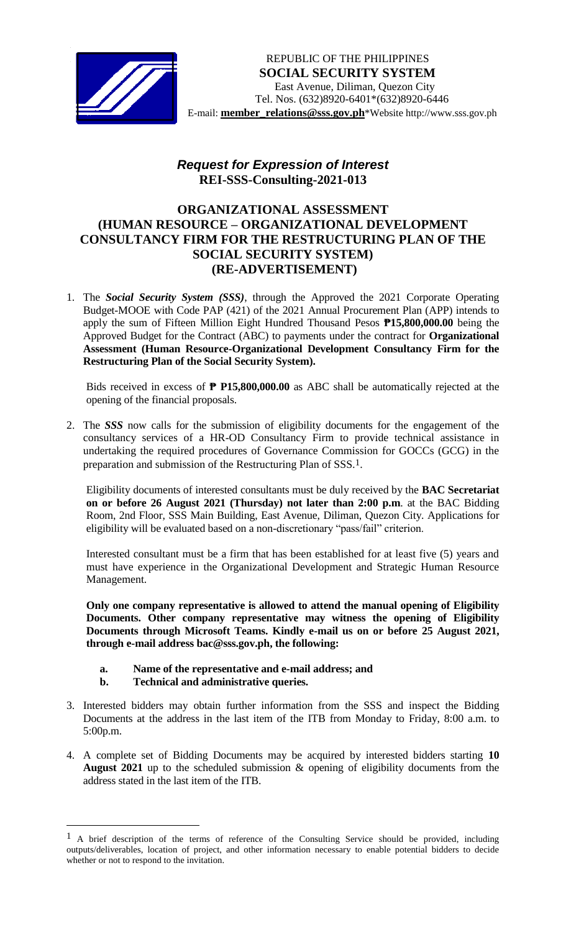

*[* E-mail: **[member\\_relations@sss.gov.ph](mailto:member_relations@sss.gov.ph)**\*Website http://www.sss.gov.ph REPUBLIC OF THE PHILIPPINES  **SOCIAL SECURITY SYSTEM** East Avenue, Diliman, Quezon City Tel. Nos. (632)8920-6401\*(632)8920-6446

## *Request for Expression of Interest*  **REI-SSS-Consulting-2021-013**

## **ORGANIZATIONAL ASSESSMENT (HUMAN RESOURCE – ORGANIZATIONAL DEVELOPMENT CONSULTANCY FIRM FOR THE RESTRUCTURING PLAN OF THE SOCIAL SECURITY SYSTEM) (RE-ADVERTISEMENT)**

1. The *Social Security System (SSS)*, through the Approved the 2021 Corporate Operating Budget-MOOE with Code PAP (421) of the 2021 Annual Procurement Plan (APP) intends to apply the sum of Fifteen Million Eight Hundred Thousand Pesos **₱15,800,000.00** being the Approved Budget for the Contract (ABC) to payments under the contract for **Organizational Assessment (Human Resource-Organizational Development Consultancy Firm for the Restructuring Plan of the Social Security System).**

Bids received in excess of **₱ P15,800,000.00** as ABC shall be automatically rejected at the opening of the financial proposals.

2. The *SSS* now calls for the submission of eligibility documents for the engagement of the consultancy services of a HR-OD Consultancy Firm to provide technical assistance in undertaking the required procedures of Governance Commission for GOCCs (GCG) in the preparation and submission of the Restructuring Plan of SSS*.* 1.

Eligibility documents of interested consultants must be duly received by the **BAC Secretariat on or before 26 August 2021 (Thursday) not later than 2:00 p.m**. at the BAC Bidding Room, 2nd Floor, SSS Main Building, East Avenue, Diliman, Quezon City. Applications for eligibility will be evaluated based on a non-discretionary "pass/fail" criterion.

Interested consultant must be a firm that has been established for at least five (5) years and must have experience in the Organizational Development and Strategic Human Resource Management.

**Only one company representative is allowed to attend the manual opening of Eligibility Documents. Other company representative may witness the opening of Eligibility Documents through Microsoft Teams. Kindly e-mail us on or before 25 August 2021, through e-mail address bac@sss.gov.ph, the following:**

- **a. Name of the representative and e-mail address; and**
- **b. Technical and administrative queries.**

 $\overline{a}$ 

- 3. Interested bidders may obtain further information from the SSS and inspect the Bidding Documents at the address in the last item of the ITB from Monday to Friday, 8:00 a.m. to 5:00p.m.
- 4. A complete set of Bidding Documents may be acquired by interested bidders starting **10 August 2021** up to the scheduled submission & opening of eligibility documents from the address stated in the last item of the ITB.

<sup>1</sup> A brief description of the terms of reference of the Consulting Service should be provided, including outputs/deliverables, location of project, and other information necessary to enable potential bidders to decide whether or not to respond to the invitation.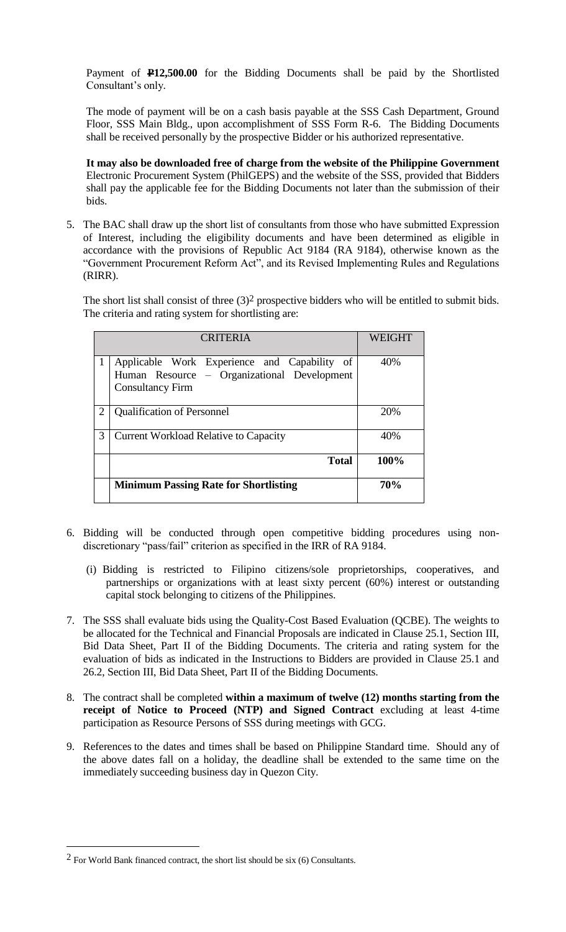Payment of **P12,500.00** for the Bidding Documents shall be paid by the Shortlisted Consultant's only.

The mode of payment will be on a cash basis payable at the SSS Cash Department, Ground Floor, SSS Main Bldg., upon accomplishment of SSS Form R-6. The Bidding Documents shall be received personally by the prospective Bidder or his authorized representative.

**It may also be downloaded free of charge from the website of the Philippine Government** Electronic Procurement System (PhilGEPS) and the website of the SSS*,* provided that Bidders shall pay the applicable fee for the Bidding Documents not later than the submission of their bids.

5. The BAC shall draw up the short list of consultants from those who have submitted Expression of Interest, including the eligibility documents and have been determined as eligible in accordance with the provisions of Republic Act 9184 (RA 9184), otherwise known as the "Government Procurement Reform Act", and its Revised Implementing Rules and Regulations (RIRR).

The short list shall consist of three  $(3)^2$  prospective bidders who will be entitled to submit bids. The criteria and rating system for shortlisting are:

| <b>CRITERIA</b>             |                                                                                                                        | <b>WEIGHT</b> |
|-----------------------------|------------------------------------------------------------------------------------------------------------------------|---------------|
|                             | Applicable Work Experience and Capability of<br>Human Resource – Organizational Development<br><b>Consultancy Firm</b> | 40%           |
| $\mathcal{D}_{\mathcal{L}}$ | <b>Qualification of Personnel</b>                                                                                      | 20%           |
| 3                           | <b>Current Workload Relative to Capacity</b>                                                                           | 40%           |
|                             | <b>Total</b>                                                                                                           | 100%          |
|                             | <b>Minimum Passing Rate for Shortlisting</b>                                                                           | 70%           |

- 6. Bidding will be conducted through open competitive bidding procedures using nondiscretionary "pass/fail" criterion as specified in the IRR of RA 9184.
	- (i) Bidding is restricted to Filipino citizens/sole proprietorships, cooperatives, and partnerships or organizations with at least sixty percent (60%) interest or outstanding capital stock belonging to citizens of the Philippines.
- 7. The SSS shall evaluate bids using the Quality-Cost Based Evaluation (QCBE). The weights to be allocated for the Technical and Financial Proposals are indicated in Clause 25.1, Section III, Bid Data Sheet, Part II of the Bidding Documents. The criteria and rating system for the evaluation of bids as indicated in the Instructions to Bidders are provided in Clause 25.1 and 26.2, Section III, Bid Data Sheet, Part II of the Bidding Documents.
- 8. The contract shall be completed **within a maximum of twelve (12) months starting from the receipt of Notice to Proceed (NTP) and Signed Contract** excluding at least 4-time participation as Resource Persons of SSS during meetings with GCG.
- 9. References to the dates and times shall be based on Philippine Standard time. Should any of the above dates fall on a holiday, the deadline shall be extended to the same time on the immediately succeeding business day in Quezon City.

 $\overline{a}$ 

 $2$  For World Bank financed contract, the short list should be six (6) Consultants.